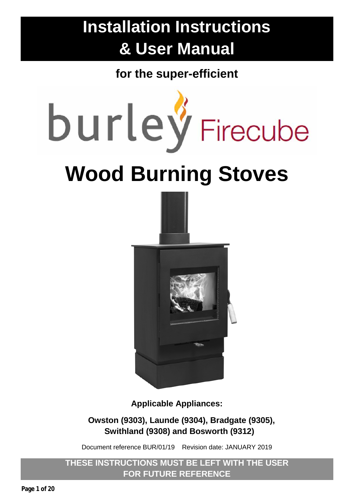# **Installation Instructions & User Manual**

**for the super-efficient**



**Applicable Appliances:**

**Owston (9303), Launde (9304), Bradgate (9305), Swithland (9308) and Bosworth (9312)**

Document reference BUR/01/19 Revision date: JANUARY 2019

**THESE INSTRUCTIONS MUST BE LEFT WITH THE USER FOR FUTURE REFERENCE**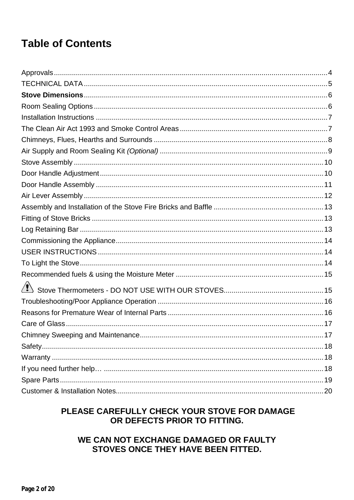# **Table of Contents**

| .17 |
|-----|
|     |
|     |
|     |
|     |
|     |

#### PLEASE CAREFULLY CHECK YOUR STOVE FOR DAMAGE OR DEFECTS PRIOR TO FITTING.

#### WE CAN NOT EXCHANGE DAMAGED OR FAULTY STOVES ONCE THEY HAVE BEEN FITTED.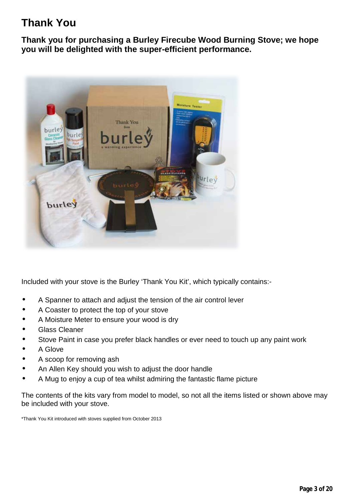# **Thank You**

**Thank you for purchasing a Burley Firecube Wood Burning Stove; we hope you will be delighted with the super-efficient performance.**



Included with your stove is the Burley 'Thank You Kit', which typically contains:-

- A Spanner to attach and adjust the tension of the air control lever
- A Coaster to protect the top of your stove
- A Moisture Meter to ensure your wood is dry
- Glass Cleaner
- Stove Paint in case you prefer black handles or ever need to touch up any paint work
- A Glove
- A scoop for removing ash
- An Allen Key should you wish to adjust the door handle
- A Mug to enjoy a cup of tea whilst admiring the fantastic flame picture

The contents of the kits vary from model to model, so not all the items listed or shown above may be included with your stove.

\*Thank You Kit introduced with stoves supplied from October 2013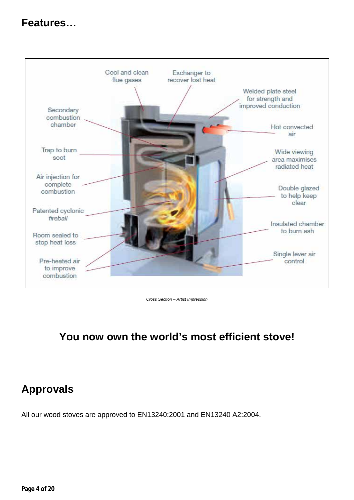# **Features…**



*Cross Section – Artist Impression*

# **You now own the world's most efficient stove!**

# <span id="page-3-0"></span>**Approvals**

All our wood stoves are approved to EN13240:2001 and EN13240 A2:2004.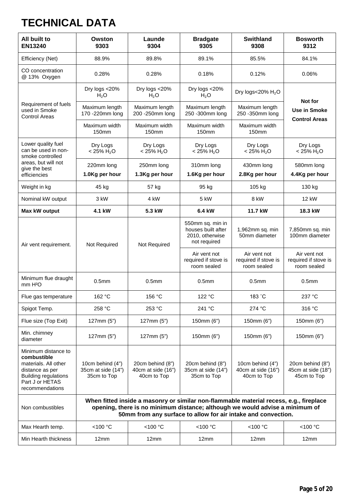# <span id="page-4-0"></span>**TECHNICAL DATA**

| All built to<br><b>EN13240</b>                                                                                                                     | Owston<br>9303                                                                                                                                                                                                                          | Launde<br>9304                                        | <b>Bradgate</b><br>9305                                                   | <b>Swithland</b><br>9308                              | <b>Bosworth</b><br>9312                               |
|----------------------------------------------------------------------------------------------------------------------------------------------------|-----------------------------------------------------------------------------------------------------------------------------------------------------------------------------------------------------------------------------------------|-------------------------------------------------------|---------------------------------------------------------------------------|-------------------------------------------------------|-------------------------------------------------------|
| Efficiency (Net)                                                                                                                                   | 88.9%                                                                                                                                                                                                                                   | 89.8%                                                 | 89.1%                                                                     | 85.5%                                                 | 84.1%                                                 |
| CO concentration<br>@ 13% Oxygen                                                                                                                   | 0.28%                                                                                                                                                                                                                                   | 0.28%                                                 | 0.18%                                                                     | 0.12%                                                 | 0.06%                                                 |
|                                                                                                                                                    | Dry logs <20%<br>H <sub>2</sub> O                                                                                                                                                                                                       | Dry logs <20%<br>H <sub>2</sub> O                     | Dry logs <20%<br>H <sub>2</sub> O                                         | Dry logs<20% $H_2O$                                   |                                                       |
| Requirement of fuels<br>used in Smoke<br><b>Control Areas</b>                                                                                      | Maximum length<br>170 - 220mm long                                                                                                                                                                                                      | Maximum length<br>200 - 250mm long                    | Maximum length<br>250 -300mm long                                         | Maximum length<br>250 - 350mm long                    | Not for<br><b>Use in Smoke</b>                        |
|                                                                                                                                                    | Maximum width<br>150 <sub>mm</sub>                                                                                                                                                                                                      | Maximum width<br>150 <sub>mm</sub>                    | Maximum width<br>150 <sub>mm</sub>                                        | Maximum width<br>150 <sub>mm</sub>                    | <b>Control Areas</b>                                  |
| Lower quality fuel<br>can be used in non-<br>smoke controlled                                                                                      | Dry Logs<br>$< 25\% H_2O$                                                                                                                                                                                                               | Dry Logs<br>$< 25\% H_2O$                             | Dry Logs<br>$< 25\% H_2O$                                                 | Dry Logs<br>$< 25\% H_2O$                             | Dry Logs<br>$< 25\% H_2O$                             |
| areas, but will not<br>give the best                                                                                                               | 220mm long                                                                                                                                                                                                                              | 250mm long                                            | 310mm long                                                                | 430mm long                                            | 580mm long                                            |
| efficiencies                                                                                                                                       | 1.0Kg per hour                                                                                                                                                                                                                          | 1.3Kg per hour                                        | 1.6Kg per hour                                                            | 2.8Kg per hour                                        | 4.4Kg per hour                                        |
| Weight in kg                                                                                                                                       | 45 kg                                                                                                                                                                                                                                   | 57 kg                                                 | 95 kg                                                                     | 105 kg                                                | 130 kg                                                |
| Nominal kW output                                                                                                                                  | 3 kW                                                                                                                                                                                                                                    | 4 kW                                                  | 5 kW                                                                      | 8 kW                                                  | 12 kW                                                 |
| Max kW output                                                                                                                                      | 4.1 kW                                                                                                                                                                                                                                  | 5.3 kW                                                | 6.4 kW                                                                    | 11.7 kW                                               | 18.3 kW                                               |
| Air vent requirement.                                                                                                                              | Not Required                                                                                                                                                                                                                            | Not Required                                          | 550mm sq. min in<br>houses built after<br>2010, otherwise<br>not required | 1,962mm sq. min<br>50mm diameter                      | 7,850mm sq. min<br>100mm diameter                     |
|                                                                                                                                                    |                                                                                                                                                                                                                                         |                                                       | Air vent not<br>required if stove is<br>room sealed                       | Air vent not<br>required if stove is<br>room sealed   | Air vent not<br>required if stove is<br>room sealed   |
| Minimum flue draught<br>mm H <sup>2</sup> O                                                                                                        | 0.5 <sub>mm</sub>                                                                                                                                                                                                                       | 0.5 <sub>mm</sub>                                     | 0.5 <sub>mm</sub>                                                         | 0.5 <sub>mm</sub>                                     | 0.5 <sub>mm</sub>                                     |
| Flue gas temperature                                                                                                                               | 162 °C                                                                                                                                                                                                                                  | 156 °C                                                | 122 °C                                                                    | 183 °C                                                | 237 °C                                                |
| Spigot Temp.                                                                                                                                       | 258 °C                                                                                                                                                                                                                                  | 253 °C                                                | 241 °C                                                                    | 274 °C                                                | 316 °C                                                |
| Flue size (Top Exit)                                                                                                                               | 127mm (5")                                                                                                                                                                                                                              | 127mm (5")                                            | 150mm (6")                                                                | 150mm (6")                                            | 150mm (6")                                            |
| Min. chimney<br>diameter                                                                                                                           | 127mm (5")                                                                                                                                                                                                                              | 127mm (5")                                            | 150mm (6")                                                                | 150mm (6")                                            | 150mm (6")                                            |
| Minimum distance to<br>combustible<br>materials. All other<br>distance as per<br><b>Building regulations</b><br>Part J or HETAS<br>recommendations | 10cm behind (4")<br>35cm at side (14")<br>35cm to Top                                                                                                                                                                                   | 20cm behind (8")<br>40cm at side (16")<br>40cm to Top | 20cm behind (8")<br>35cm at side (14")<br>35cm to Top                     | 10cm behind (4")<br>40cm at side (16")<br>40cm to Top | 20cm behind (8")<br>45cm at side (18")<br>45cm to Top |
| Non combustibles                                                                                                                                   | When fitted inside a masonry or similar non-flammable material recess, e.g., fireplace<br>opening, there is no minimum distance; although we would advise a minimum of<br>50mm from any surface to allow for air intake and convection. |                                                       |                                                                           |                                                       |                                                       |
| Max Hearth temp.                                                                                                                                   | <100 °C                                                                                                                                                                                                                                 | <100 °C                                               | <100 °C                                                                   | <100 °C                                               | <100 °C                                               |
| Min Hearth thickness                                                                                                                               | 12mm                                                                                                                                                                                                                                    | 12mm                                                  | 12mm                                                                      | 12mm                                                  | 12mm                                                  |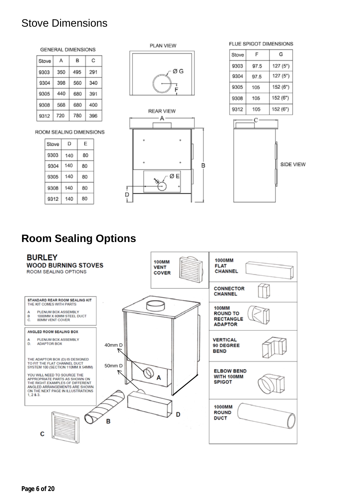# <span id="page-5-0"></span>Stove Dimensions

#### **GENERAL DIMENSIONS**

| Stove | А   | в   | с   |
|-------|-----|-----|-----|
| 9303  | 350 | 495 | 291 |
| 9304  | 398 | 560 | 340 |
| 9305  | 440 | 680 | 391 |
| 9308  | 568 | 680 | 400 |
| 9312  | 720 | 780 | 396 |

ROOM SEALING DIMENSIONS

| Stove | D   | E  |
|-------|-----|----|
| 9303  | 140 | 80 |
| 9304  | 140 | 80 |
| 9305  | 140 | 80 |
| 9308  | 140 | 80 |
| 9312  | 140 | 80 |



PLAN VIEW

ØG



SIDE VIEW

# <span id="page-5-1"></span>**Room Sealing Options**

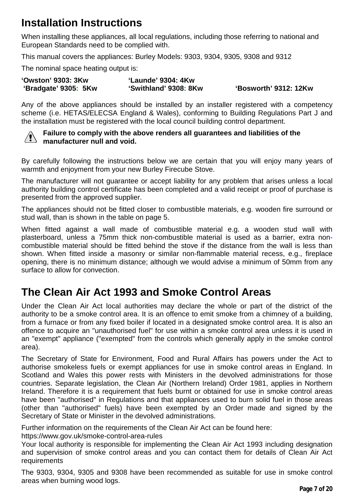# <span id="page-6-0"></span>**Installation Instructions**

When installing these appliances, all local regulations, including those referring to national and European Standards need to be complied with.

This manual covers the appliances: Burley Models: 9303, 9304, 9305, 9308 and 9312

The nominal space heating output is:

| <b>'Owston' 9303: 3Kw</b> | 'Launde' 9304: 4Kw    |                              |
|---------------------------|-----------------------|------------------------------|
| 'Bradgate' 9305: 5Kw      | 'Swithland' 9308: 8Kw | <b>'Bosworth' 9312: 12Kw</b> |

Any of the above appliances should be installed by an installer registered with a competency scheme (i.e. HETAS/ELECSA England & Wales), conforming to Building Regulations Part J and the installation must be registered with the local council building control department.



#### **Failure to comply with the above renders all guarantees and liabilities of the manufacturer null and void.**

By carefully following the instructions below we are certain that you will enjoy many years of warmth and enjoyment from your new Burley Firecube Stove.

The manufacturer will not guarantee or accept liability for any problem that arises unless a local authority building control certificate has been completed and a valid receipt or proof of purchase is presented from the approved supplier.

The appliances should not be fitted closer to combustible materials, e.g. wooden fire surround or stud wall, than is shown in the table on page 5.

When fitted against a wall made of combustible material e.g. a wooden stud wall with plasterboard, unless a 75mm thick non-combustible material is used as a barrier, extra noncombustible material should be fitted behind the stove if the distance from the wall is less than shown. When fitted inside a masonry or similar non-flammable material recess, e.g., fireplace opening, there is no minimum distance; although we would advise a minimum of 50mm from any surface to allow for convection.

# <span id="page-6-1"></span>**The Clean Air Act 1993 and Smoke Control Areas**

Under the Clean Air Act local authorities may declare the whole or part of the district of the authority to be a smoke control area. It is an offence to emit smoke from a chimney of a building, from a furnace or from any fixed boiler if located in a designated smoke control area. It is also an offence to acquire an "unauthorised fuel" for use within a smoke control area unless it is used in an "exempt" appliance ("exempted" from the controls which generally apply in the smoke control area).

The Secretary of State for Environment, Food and Rural Affairs has powers under the Act to authorise smokeless fuels or exempt appliances for use in smoke control areas in England. In Scotland and Wales this power rests with Ministers in the devolved administrations for those countries. Separate legislation, the Clean Air (Northern Ireland) Order 1981, applies in Northern Ireland. Therefore it is a requirement that fuels burnt or obtained for use in smoke control areas have been "authorised" in Regulations and that appliances used to burn solid fuel in those areas (other than "authorised" fuels) have been exempted by an Order made and signed by the Secretary of State or Minister in the devolved administrations.

Further information on the requirements of the Clean Air Act can be found here:

<https://www.gov.uk/smoke-control-area-rules>

Your local authority is responsible for implementing the Clean Air Act 1993 including designation and supervision of smoke control areas and you can contact them for details of Clean Air Act requirements

The 9303, 9304, 9305 and 9308 have been recommended as suitable for use in smoke control areas when burning wood logs.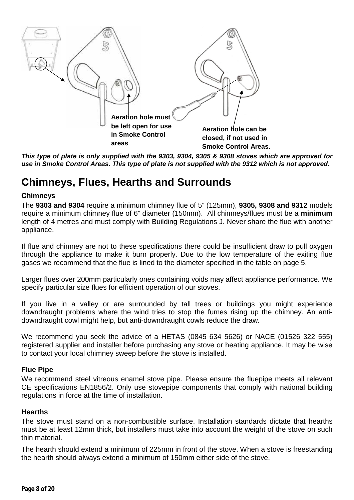

*This type of plate is only supplied with the 9303, 9304, 9305 & 9308 stoves which are approved for use in Smoke Control Areas. This type of plate is not supplied with the 9312 which is not approved.*

# <span id="page-7-0"></span>**Chimneys, Flues, Hearths and Surrounds**

#### **Chimneys**

The **9303 and 9304** require a minimum chimney flue of 5" (125mm), **9305, 9308 and 9312** models require a minimum chimney flue of 6" diameter (150mm). All chimneys/flues must be a **minimum**  length of 4 metres and must comply with Building Regulations J. Never share the flue with another appliance.

If flue and chimney are not to these specifications there could be insufficient draw to pull oxygen through the appliance to make it burn properly. Due to the low temperature of the exiting flue gases we recommend that the flue is lined to the diameter specified in the table on page 5.

Larger flues over 200mm particularly ones containing voids may affect appliance performance. We specify particular size flues for efficient operation of our stoves.

If you live in a valley or are surrounded by tall trees or buildings you might experience downdraught problems where the wind tries to stop the fumes rising up the chimney. An antidowndraught cowl might help, but anti-downdraught cowls reduce the draw.

We recommend you seek the advice of a HETAS (0845 634 5626) or NACE (01526 322 555) registered supplier and installer before purchasing any stove or heating appliance. It may be wise to contact your local chimney sweep before the stove is installed.

#### **Flue Pipe**

We recommend steel vitreous enamel stove pipe. Please ensure the fluepipe meets all relevant CE specifications EN1856/2. Only use stovepipe components that comply with national building regulations in force at the time of installation.

#### **Hearths**

The stove must stand on a non-combustible surface. Installation standards dictate that hearths must be at least 12mm thick, but installers must take into account the weight of the stove on such thin material.

The hearth should extend a minimum of 225mm in front of the stove. When a stove is freestanding the hearth should always extend a minimum of 150mm either side of the stove.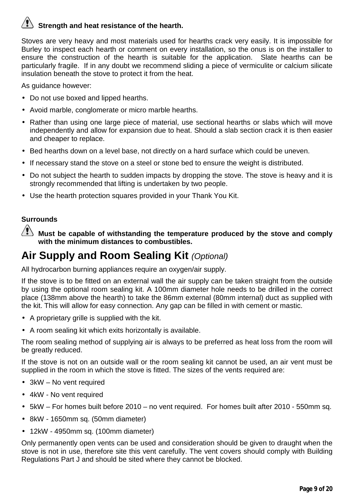# **Strength and heat resistance of the hearth.**

Stoves are very heavy and most materials used for hearths crack very easily. It is impossible for Burley to inspect each hearth or comment on every installation, so the onus is on the installer to ensure the construction of the hearth is suitable for the application. Slate hearths can be particularly fragile. If in any doubt we recommend sliding a piece of vermiculite or calcium silicate insulation beneath the stove to protect it from the heat.

As guidance however:

- Do not use boxed and lipped hearths.
- Avoid marble, conglomerate or micro marble hearths.
- Rather than using one large piece of material, use sectional hearths or slabs which will move independently and allow for expansion due to heat. Should a slab section crack it is then easier and cheaper to replace.
- Bed hearths down on a level base, not directly on a hard surface which could be uneven.
- If necessary stand the stove on a steel or stone bed to ensure the weight is distributed.
- Do not subject the hearth to sudden impacts by dropping the stove. The stove is heavy and it is strongly recommended that lifting is undertaken by two people.
- Use the hearth protection squares provided in your Thank You Kit.

#### **Surrounds**

 $\,$  **Must be capable of withstanding the temperature produced by the stove and comply with the minimum distances to combustibles.**

# <span id="page-8-0"></span>**Air Supply and Room Sealing Kit** *(Optional)*

All hydrocarbon burning appliances require an oxygen/air supply.

If the stove is to be fitted on an external wall the air supply can be taken straight from the outside by using the optional room sealing kit. A 100mm diameter hole needs to be drilled in the correct place (138mm above the hearth) to take the 86mm external (80mm internal) duct as supplied with the kit. This will allow for easy connection. Any gap can be filled in with cement or mastic.

- A proprietary grille is supplied with the kit.
- A room sealing kit which exits horizontally is available.

The room sealing method of supplying air is always to be preferred as heat loss from the room will be greatly reduced.

If the stove is not on an outside wall or the room sealing kit cannot be used, an air vent must be supplied in the room in which the stove is fitted. The sizes of the vents required are:

- 3kW No vent required
- 4kW No vent required
- 5kW For homes built before 2010 no vent required. For homes built after 2010 550mm sq.
- 8kW 1650mm sq. (50mm diameter)
- 12kW 4950mm sq. (100mm diameter)

Only permanently open vents can be used and consideration should be given to draught when the stove is not in use, therefore site this vent carefully. The vent covers should comply with Building Regulations Part J and should be sited where they cannot be blocked.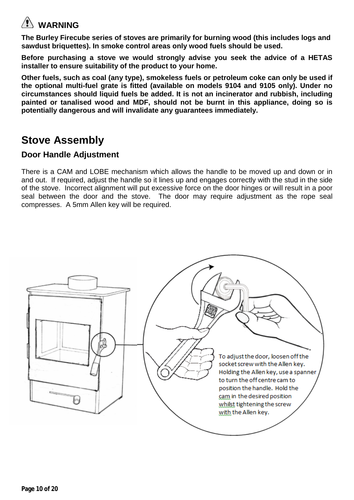# **WARNING**

**The Burley Firecube series of stoves are primarily for burning wood (this includes logs and sawdust briquettes). In smoke control areas only wood fuels should be used.** 

**Before purchasing a stove we would strongly advise you seek the advice of a HETAS installer to ensure suitability of the product to your home.**

**Other fuels, such as coal (any type), smokeless fuels or petroleum coke can only be used if the optional multi-fuel grate is fitted (available on models 9104 and 9105 only). Under no circumstances should liquid fuels be added. It is not an incinerator and rubbish, including painted or tanalised wood and MDF, should not be burnt in this appliance, doing so is potentially dangerous and will invalidate any guarantees immediately.**

# <span id="page-9-0"></span>**Stove Assembly**

#### <span id="page-9-1"></span>**Door Handle Adjustment**

There is a CAM and LOBE mechanism which allows the handle to be moved up and down or in and out. If required, adjust the handle so it lines up and engages correctly with the stud in the side of the stove. Incorrect alignment will put excessive force on the door hinges or will result in a poor seal between the door and the stove. The door may require adjustment as the rope seal compresses. A 5mm Allen key will be required.

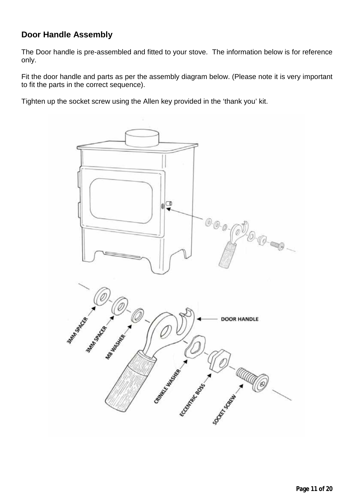#### <span id="page-10-0"></span>**Door Handle Assembly**

The Door handle is pre-assembled and fitted to your stove. The information below is for reference only.

Fit the door handle and parts as per the assembly diagram below. (Please note it is very important to fit the parts in the correct sequence).

Tighten up the socket screw using the Allen key provided in the 'thank you' kit.

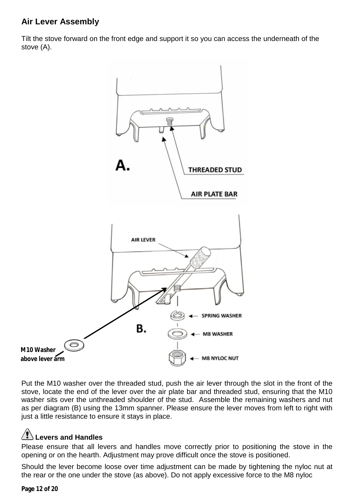#### <span id="page-11-0"></span>**Air Lever Assembly**

Tilt the stove forward on the front edge and support it so you can access the underneath of the stove (A).



Put the M10 washer over the threaded stud, push the air lever through the slot in the front of the stove, locate the end of the lever over the air plate bar and threaded stud, ensuring that the M10 washer sits over the unthreaded shoulder of the stud. Assemble the remaining washers and nut as per diagram (B) using the 13mm spanner. Please ensure the lever moves from left to right with just a little resistance to ensure it stays in place.

#### **Levers and Handles**

Please ensure that all levers and handles move correctly prior to positioning the stove in the opening or on the hearth. Adjustment may prove difficult once the stove is positioned.

Should the lever become loose over time adjustment can be made by tightening the nyloc nut at the rear or the one under the stove (as above). Do not apply excessive force to the M8 nyloc

**Page 12 of 20**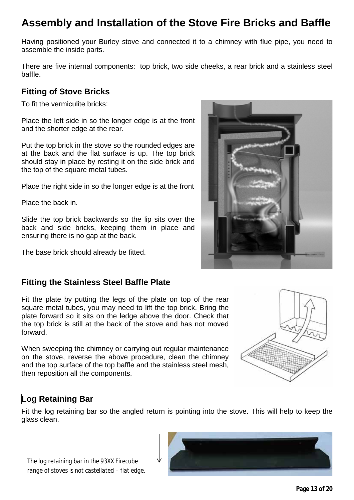# <span id="page-12-0"></span>**Assembly and Installation of the Stove Fire Bricks and Baffle**

Having positioned your Burley stove and connected it to a chimney with flue pipe, you need to assemble the inside parts.

There are five internal components: top brick, two side cheeks, a rear brick and a stainless steel baffle.

#### <span id="page-12-1"></span>**Fitting of Stove Bricks**

To fit the vermiculite bricks:

Place the left side in so the longer edge is at the front and the shorter edge at the rear.

Put the top brick in the stove so the rounded edges are at the back and the flat surface is up. The top brick should stay in place by resting it on the side brick and the top of the square metal tubes.

Place the right side in so the longer edge is at the front

Place the back in.

Slide the top brick backwards so the lip sits over the back and side bricks, keeping them in place and ensuring there is no gap at the back.

The base brick should already be fitted.

#### **Fitting the Stainless Steel Baffle Plate**

Fit the plate by putting the legs of the plate on top of the rear square metal tubes, you may need to lift the top brick. Bring the plate forward so it sits on the ledge above the door. Check that the top brick is still at the back of the stove and has not moved forward.

When sweeping the chimney or carrying out regular maintenance on the stove, reverse the above procedure, clean the chimney and the top surface of the top baffle and the stainless steel mesh, then reposition all the components.



#### <span id="page-12-2"></span>**Log Retaining Bar**

Fit the log retaining bar so the angled return is pointing into the stove. This will help to keep the glass clean.



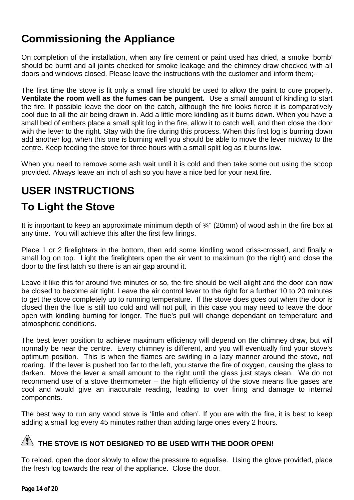# <span id="page-13-0"></span>**Commissioning the Appliance**

On completion of the installation, when any fire cement or paint used has dried, a smoke 'bomb' should be burnt and all joints checked for smoke leakage and the chimney draw checked with all doors and windows closed. Please leave the instructions with the customer and inform them;-

The first time the stove is lit only a small fire should be used to allow the paint to cure properly. **Ventilate the room well as the fumes can be pungent.** Use a small amount of kindling to start the fire. If possible leave the door on the catch, although the fire looks fierce it is comparatively cool due to all the air being drawn in. Add a little more kindling as it burns down. When you have a small bed of embers place a small split log in the fire, allow it to catch well, and then close the door with the lever to the right. Stay with the fire during this process. When this first log is burning down add another log, when this one is burning well you should be able to move the lever midway to the centre. Keep feeding the stove for three hours with a small split log as it burns low.

When you need to remove some ash wait until it is cold and then take some out using the scoop provided. Always leave an inch of ash so you have a nice bed for your next fire.

# <span id="page-13-1"></span>**USER INSTRUCTIONS**

# <span id="page-13-2"></span>**To Light the Stove**

It is important to keep an approximate minimum depth of ¾" (20mm) of wood ash in the fire box at any time. You will achieve this after the first few firings.

Place 1 or 2 firelighters in the bottom, then add some kindling wood criss-crossed, and finally a small log on top. Light the firelighters open the air vent to maximum (to the right) and close the door to the first latch so there is an air gap around it.

Leave it like this for around five minutes or so, the fire should be well alight and the door can now be closed to become air tight. Leave the air control lever to the right for a further 10 to 20 minutes to get the stove completely up to running temperature. If the stove does goes out when the door is closed then the flue is still too cold and will not pull, in this case you may need to leave the door open with kindling burning for longer. The flue's pull will change dependant on temperature and atmospheric conditions.

The best lever position to achieve maximum efficiency will depend on the chimney draw, but will normally be near the centre. Every chimney is different, and you will eventually find your stove's optimum position. This is when the flames are swirling in a lazy manner around the stove, not roaring. If the lever is pushed too far to the left, you starve the fire of oxygen, causing the glass to darken. Move the lever a small amount to the right until the glass just stays clean. We do not recommend use of a stove thermometer – the high efficiency of the stove means flue gases are cool and would give an inaccurate reading, leading to over firing and damage to internal components.

The best way to run any wood stove is 'little and often'. If you are with the fire, it is best to keep adding a small log every 45 minutes rather than adding large ones every 2 hours.

### **THE STOVE IS NOT DESIGNED TO BE USED WITH THE DOOR OPEN!**

To reload, open the door slowly to allow the pressure to equalise. Using the glove provided, place the fresh log towards the rear of the appliance. Close the door.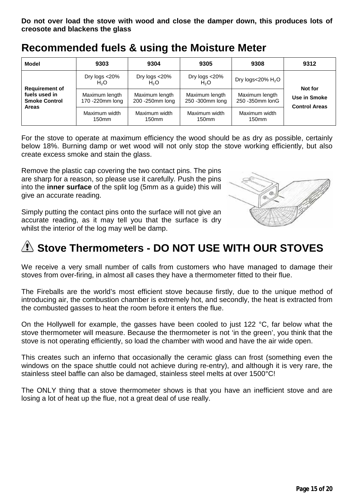<span id="page-14-0"></span>**Recommended fuels & using the Moisture Meter**

| <b>Model</b>                                                                   | 9303                                  | 9304                               | 9305                               | 9308                               | 9312                                 |  |
|--------------------------------------------------------------------------------|---------------------------------------|------------------------------------|------------------------------------|------------------------------------|--------------------------------------|--|
|                                                                                | Dry $logs < 20\%$<br>H <sub>2</sub> O | Dry logs <20%<br>H <sub>2</sub> O  | Dry logs <20%<br>H <sub>2</sub> O  | Dry logs<20% $H_2O$                | Not for                              |  |
| <b>Requirement of</b><br>fuels used in<br><b>Smoke Control</b><br><b>Areas</b> | Maximum length<br>170 -220mm long     | Maximum length<br>200 - 250mm long | Maximum length<br>250 -300mm long  | Maximum length<br>250 - 350mm lonG | Use in Smoke<br><b>Control Areas</b> |  |
|                                                                                | Maximum width<br>150 <sub>mm</sub>    | Maximum width<br>150 <sub>mm</sub> | Maximum width<br>150 <sub>mm</sub> | Maximum width<br>150 <sub>mm</sub> |                                      |  |

For the stove to operate at maximum efficiency the wood should be as dry as possible, certainly below 18%. Burning damp or wet wood will not only stop the stove working efficiently, but also create excess smoke and stain the glass.

Remove the plastic cap covering the two contact pins. The pins are sharp for a reason, so please use it carefully*.* Push the pins into the **inner surface** of the split log (5mm as a guide) this will give an accurate reading.

Simply putting the contact pins onto the surface will not give an accurate reading, as it may tell you that the surface is dry whilst the interior of the log may well be damp.



# <span id="page-14-1"></span>**As Stove Thermometers - DO NOT USE WITH OUR STOVES**

We receive a very small number of calls from customers who have managed to damage their stoves from over-firing, in almost all cases they have a thermometer fitted to their flue.

The Fireballs are the world's most efficient stove because firstly, due to the unique method of introducing air, the combustion chamber is extremely hot, and secondly, the heat is extracted from the combusted gasses to heat the room before it enters the flue.

On the Hollywell for example, the gasses have been cooled to just 122 °C, far below what the stove thermometer will measure. Because the thermometer is not 'in the green', you think that the stove is not operating efficiently, so load the chamber with wood and have the air wide open.

This creates such an inferno that occasionally the ceramic glass can frost (something even the windows on the space shuttle could not achieve during re-entry), and although it is very rare, the stainless steel baffle can also be damaged, stainless steel melts at over 1500°C!

The ONLY thing that a stove thermometer shows is that you have an inefficient stove and are losing a lot of heat up the flue, not a great deal of use really.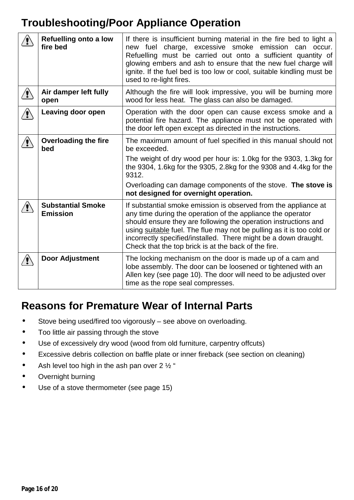# <span id="page-15-0"></span>**Troubleshooting/Poor Appliance Operation**

|   | <b>Refuelling onto a low</b><br>fire bed    | If there is insufficient burning material in the fire bed to light a<br>new fuel charge, excessive smoke emission can occur.<br>Refuelling must be carried out onto a sufficient quantity of<br>glowing embers and ash to ensure that the new fuel charge will<br>ignite. If the fuel bed is too low or cool, suitable kindling must be<br>used to re-light fires.                                    |
|---|---------------------------------------------|-------------------------------------------------------------------------------------------------------------------------------------------------------------------------------------------------------------------------------------------------------------------------------------------------------------------------------------------------------------------------------------------------------|
|   | Air damper left fully<br>open               | Although the fire will look impressive, you will be burning more<br>wood for less heat. The glass can also be damaged.                                                                                                                                                                                                                                                                                |
| Ţ | Leaving door open                           | Operation with the door open can cause excess smoke and a<br>potential fire hazard. The appliance must not be operated with<br>the door left open except as directed in the instructions.                                                                                                                                                                                                             |
|   | <b>Overloading the fire</b><br>bed          | The maximum amount of fuel specified in this manual should not<br>be exceeded.<br>The weight of dry wood per hour is: 1.0kg for the 9303, 1.3kg for<br>the 9304, 1.6kg for the 9305, 2.8kg for the 9308 and 4.4kg for the<br>9312.<br>Overloading can damage components of the stove. The stove is<br>not designed for overnight operation.                                                           |
|   | <b>Substantial Smoke</b><br><b>Emission</b> | If substantial smoke emission is observed from the appliance at<br>any time during the operation of the appliance the operator<br>should ensure they are following the operation instructions and<br>using suitable fuel. The flue may not be pulling as it is too cold or<br>incorrectly specified/installed. There might be a down draught.<br>Check that the top brick is at the back of the fire. |
|   | <b>Door Adjustment</b>                      | The locking mechanism on the door is made up of a cam and<br>lobe assembly. The door can be loosened or tightened with an<br>Allen key (see page 10). The door will need to be adjusted over<br>time as the rope seal compresses.                                                                                                                                                                     |

# <span id="page-15-1"></span>**Reasons for Premature Wear of Internal Parts**

- Stove being used/fired too vigorously see above on overloading.
- Too little air passing through the stove
- Use of excessively dry wood (wood from old furniture, carpentry offcuts)
- Excessive debris collection on baffle plate or inner fireback (see section on cleaning)
- Ash level too high in the ash pan over 2 1/2 "
- Overnight burning  $\bullet$
- Use of a stove thermometer (see page 15) $\bullet$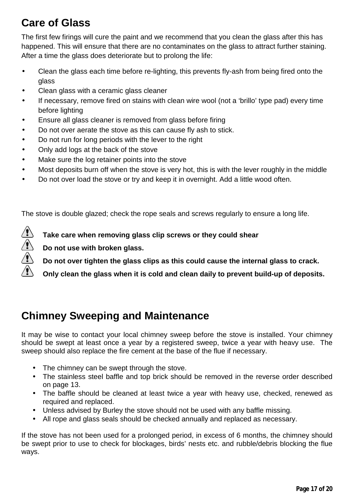# <span id="page-16-0"></span>**Care of Glass**

The first few firings will cure the paint and we recommend that you clean the glass after this has happened. This will ensure that there are no contaminates on the glass to attract further staining. After a time the glass does deteriorate but to prolong the life:

- Clean the glass each time before re-lighting, this prevents fly-ash from being fired onto the J. glass
- Clean glass with a ceramic glass cleaner
- If necessary, remove fired on stains with clean wire wool (not a 'brillo' type pad) every time before lighting
- Ensure all glass cleaner is removed from glass before firing
- Do not over aerate the stove as this can cause fly ash to stick.
- Do not run for long periods with the lever to the right
- Only add logs at the back of the stove
- Make sure the log retainer points into the stove
- Most deposits burn off when the stove is very hot, this is with the lever roughly in the middle
- Do not over load the stove or try and keep it in overnight. Add a little wood often.

The stove is double glazed; check the rope seals and screws regularly to ensure a long life.

**Take care when removing glass clip screws or they could shear**

**Do not use with broken glass.**

- **Do not over tighten the glass clips as this could cause the internal glass to crack.**
- **Only clean the glass when it is cold and clean daily to prevent build-up of deposits.**

# <span id="page-16-1"></span>**Chimney Sweeping and Maintenance**

It may be wise to contact your local chimney sweep before the stove is installed. Your chimney should be swept at least once a year by a registered sweep, twice a year with heavy use. The sweep should also replace the fire cement at the base of the flue if necessary.

- The chimney can be swept through the stove.
- The stainless steel baffle and top brick should be removed in the reverse order described on page 13.
- The baffle should be cleaned at least twice a year with heavy use, checked, renewed as required and replaced.
- Unless advised by Burley the stove should not be used with any baffle missing.
- All rope and glass seals should be checked annually and replaced as necessary.

If the stove has not been used for a prolonged period, in excess of 6 months, the chimney should be swept prior to use to check for blockages, birds' nests etc. and rubble/debris blocking the flue ways.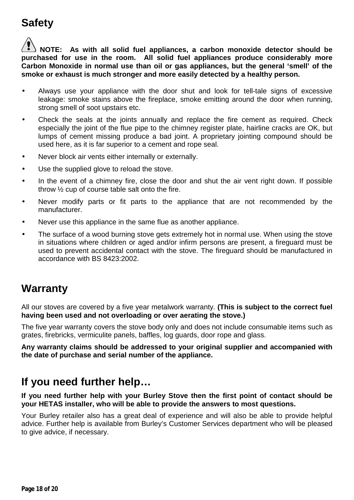# <span id="page-17-0"></span>**Safety**

**NOTE: As with all solid fuel appliances, a carbon monoxide detector should be purchased for use in the room. All solid fuel appliances produce considerably more Carbon Monoxide in normal use than oil or gas appliances, but the general 'smell' of the smoke or exhaust is much stronger and more easily detected by a healthy person.** 

- Always use your appliance with the door shut and look for tell-tale signs of excessive leakage: smoke stains above the fireplace, smoke emitting around the door when running, strong smell of soot upstairs etc.
- Check the seals at the joints annually and replace the fire cement as required. Check especially the joint of the flue pipe to the chimney register plate, hairline cracks are OK, but lumps of cement missing produce a bad joint. A proprietary jointing compound should be used here, as it is far superior to a cement and rope seal.
- Never block air vents either internally or externally.
- Use the supplied glove to reload the stove.
- In the event of a chimney fire, close the door and shut the air vent right down. If possible throw ½ cup of course table salt onto the fire.
- Never modify parts or fit parts to the appliance that are not recommended by the manufacturer.
- Never use this appliance in the same flue as another appliance.
- The surface of a wood burning stove gets extremely hot in normal use. When using the stove in situations where children or aged and/or infirm persons are present, a fireguard must be used to prevent accidental contact with the stove. The fireguard should be manufactured in accordance with BS 8423:2002.

# <span id="page-17-1"></span>**Warranty**

All our stoves are covered by a five year metalwork warranty. **(This is subject to the correct fuel having been used and not overloading or over aerating the stove.)**

The five year warranty covers the stove body only and does not include consumable items such as grates, firebricks, [vermiculite](http://www.acrheatproducts.co.uk/benefit/vermiculite) panels, baffles, log guards, door rope and glass.

**Any warranty claims should be addressed to your original supplier and accompanied with the date of purchase and serial number of the appliance.**

### <span id="page-17-2"></span>**If you need further help…**

**If you need further help with your Burley Stove then the first point of contact should be your HETAS installer, who will be able to provide the answers to most questions.** 

Your Burley retailer also has a great deal of experience and will also be able to provide helpful advice. Further help is available from Burley's Customer Services department who will be pleased to give advice, if necessary.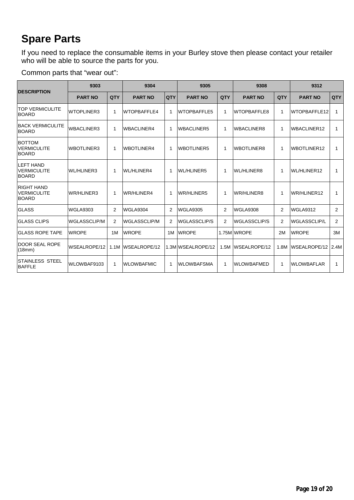# <span id="page-18-0"></span>**Spare Parts**

If you need to replace the consumable items in your Burley stove then please contact your retailer who will be able to source the parts for you.

Common parts that "wear out":

|                                                         | 9303              |                | 9304                |            | 9305                |                | 9308                |                | 9312               |                |
|---------------------------------------------------------|-------------------|----------------|---------------------|------------|---------------------|----------------|---------------------|----------------|--------------------|----------------|
| <b>DESCRIPTION</b>                                      | <b>PART NO</b>    | QTY            | <b>PART NO</b>      | <b>QTY</b> | <b>PART NO</b>      | QTY            | <b>PART NO</b>      | QTY            | <b>PART NO</b>     | QTY            |
| <b>TOP VERMICULITE</b><br><b>BOARD</b>                  | <b>WTOPLINER3</b> | 1              | <b>WTOPBAFFLE4</b>  | 1          | <b>WTOPBAFFLE5</b>  | 1              | <b>WTOPBAFFLE8</b>  | 1              | WTOPBAFFLE12       | 1              |
| <b>BACK VERMICULITE</b><br><b>BOARD</b>                 | <b>WBACLINER3</b> | 1              | <b>WBACLINER4</b>   | 1          | <b>WBACLINER5</b>   | 1              | <b>WBACLINER8</b>   | 1              | <b>WBACLINER12</b> | 1              |
| <b>BOTTOM</b><br><b>VERMICULITE</b><br><b>BOARD</b>     | <b>WBOTLINER3</b> | 1              | <b>WBOTLINER4</b>   | 1          | <b>WBOTLINER5</b>   | 1              | <b>WBOTLINER8</b>   | 1              | <b>WBOTLINER12</b> | 1              |
| <b>LEFT HAND</b><br><b>VERMICULITE</b><br><b>BOARD</b>  | <b>WL/HLINER3</b> | 1              | <b>WL/HLINER4</b>   | 1          | WL/HLINER5          | 1              | <b>WL/HLINER8</b>   | 1              | <b>WL/HLINER12</b> | 1              |
| <b>RIGHT HAND</b><br><b>VERMICULITE</b><br><b>BOARD</b> | <b>WR/HLINER3</b> | 1              | <b>WR/HLINER4</b>   | 1          | WR/HLINER5          | 1              | WR/HLINER8          | 1              | WR/HLINER12        | 1              |
| <b>GLASS</b>                                            | <b>WGLA9303</b>   | 2              | <b>WGLA9304</b>     | 2          | <b>WGLA9305</b>     | 2              | <b>WGLA9308</b>     | 2              | WGLA9312           | 2              |
| <b>IGLASS CLIPS</b>                                     | WGLASSCLIP/M      | $\overline{2}$ | <b>WGLASSCLIP/M</b> | 2          | <b>WGLASSCLIP/S</b> | $\overline{2}$ | <b>WGLASSCLIP/S</b> | $\overline{2}$ | WGLASSCLIP/L       | $\overline{2}$ |
| <b>IGLASS ROPE TAPE</b>                                 | <b>WROPE</b>      | 1M             | <b>WROPE</b>        | 1M         | <b>WROPE</b>        |                | 1.75M WROPE         | 2M             | <b>WROPE</b>       | 3M             |
| <b>DOOR SEAL ROPE</b><br>(18mm)                         | WSEALROPE/12      | 1.1M           | WSEALROPE/12        |            | 1.3M WSEALROPE/12   | 1.5M           | WSEALROPE/12        | 1.8M           | WSEALROPE/12       | 2.4M           |
| ISTAINLESS STEEL<br><b>BAFFLE</b>                       | WLOWBAF9103       | 1              | <b>WLOWBAFMIC</b>   | 1          | <b>WLOWBAFSMA</b>   | 1              | <b>WLOWBAFMED</b>   | 1              | <b>WLOWBAFLAR</b>  | 1              |